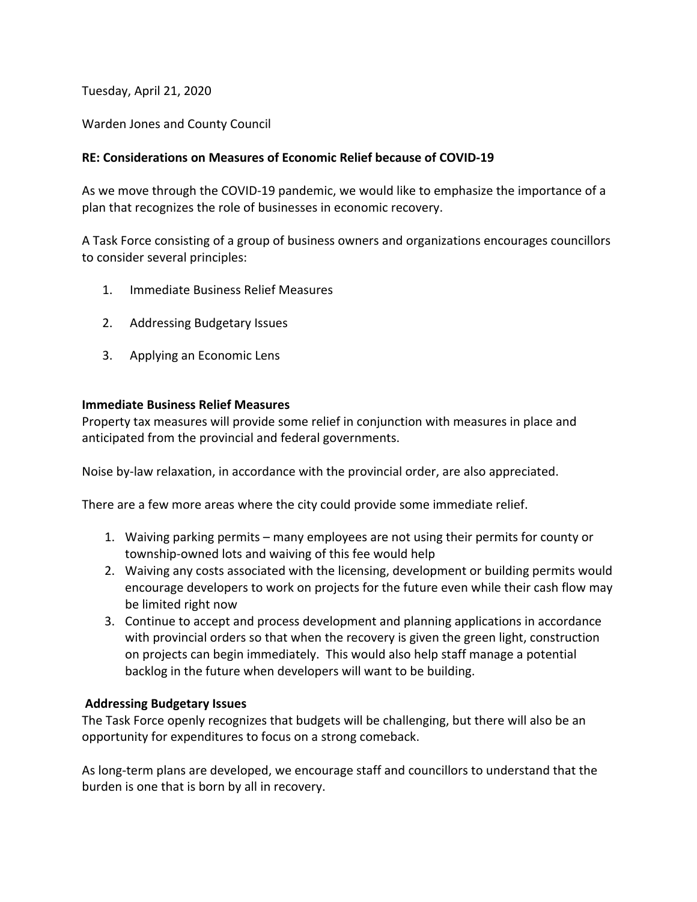Tuesday, April 21, 2020

Warden Jones and County Council

## **RE: Considerations on Measures of Economic Relief because of COVID-19**

As we move through the COVID-19 pandemic, we would like to emphasize the importance of a plan that recognizes the role of businesses in economic recovery.

A Task Force consisting of a group of business owners and organizations encourages councillors to consider several principles:

- 1. Immediate Business Relief Measures
- 2. Addressing Budgetary Issues
- 3. Applying an Economic Lens

## **Immediate Business Relief Measures**

Property tax measures will provide some relief in conjunction with measures in place and anticipated from the provincial and federal governments.

Noise by-law relaxation, in accordance with the provincial order, are also appreciated.

There are a few more areas where the city could provide some immediate relief.

- 1. Waiving parking permits many employees are not using their permits for county or township-owned lots and waiving of this fee would help
- 2. Waiving any costs associated with the licensing, development or building permits would encourage developers to work on projects for the future even while their cash flow may be limited right now
- 3. Continue to accept and process development and planning applications in accordance with provincial orders so that when the recovery is given the green light, construction on projects can begin immediately. This would also help staff manage a potential backlog in the future when developers will want to be building.

## **Addressing Budgetary Issues**

The Task Force openly recognizes that budgets will be challenging, but there will also be an opportunity for expenditures to focus on a strong comeback.

As long-term plans are developed, we encourage staff and councillors to understand that the burden is one that is born by all in recovery.